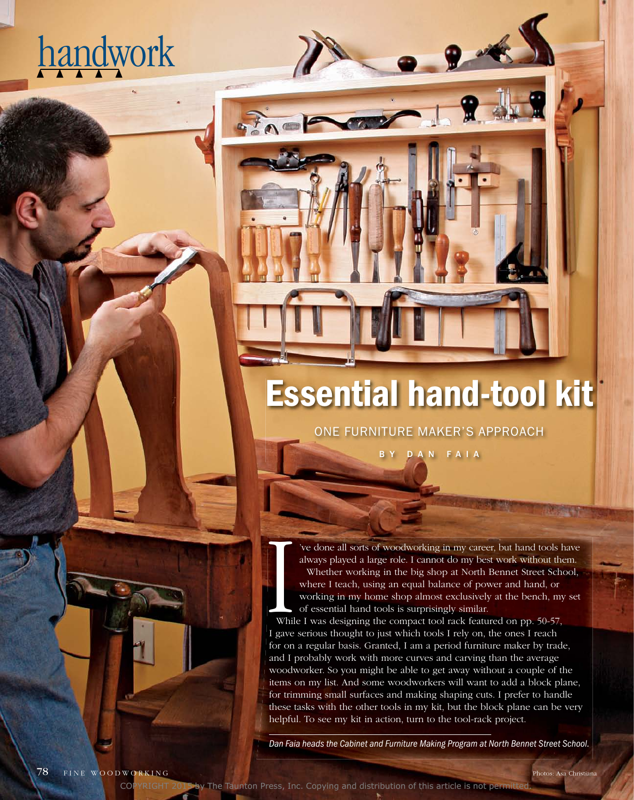

## Essential hand-tool kit

ONE FURNITURE MAKER'S APPROACH

BY DAN FAIA

've done all sorts of woodworking in my career, but hand tools have always played a large role. I cannot do my best work without them. Whether working in the big shop at North Bennet Street School, where I teach, using an equal balance of power and hand, or working in my home shop almost exclusively at the bench, my set of essential hand tools is surprisingly similar.

While I gave While I was designing the compact tool rack featured on pp. 50-57, I gave serious thought to just which tools I rely on, the ones I reach for on a regular basis. Granted, I am a period furniture maker by trade, and I probably work with more curves and carving than the average woodworker. So you might be able to get away without a couple of the items on my list. And some woodworkers will want to add a block plane, for trimming small surfaces and making shaping cuts. I prefer to handle these tasks with the other tools in my kit, but the block plane can be very helpful. To see my kit in action, turn to the tool-rack project.

*Dan Faia heads the Cabinet and Furniture Making Program at North Bennet Street School.*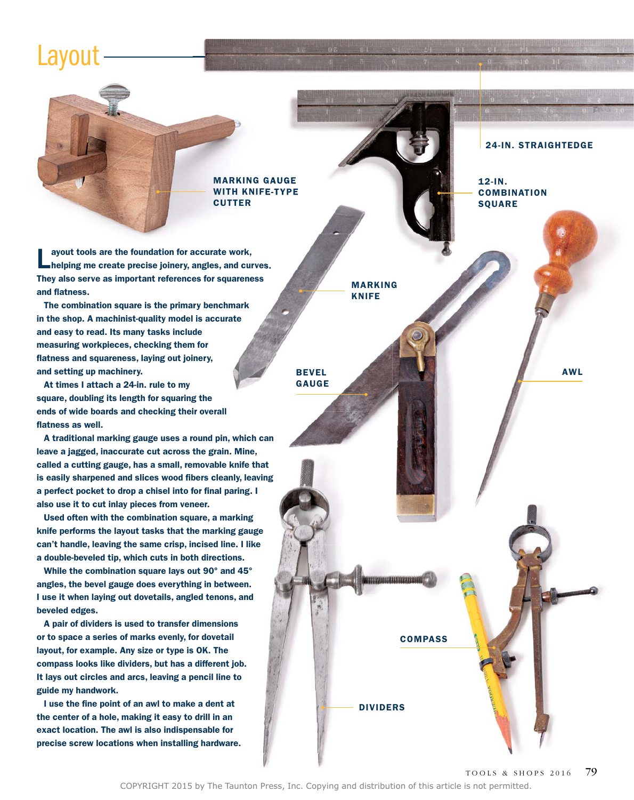#### Layou

#### MARKING GAUGE WITH KNIFE-TYPE **CUTTER**

Layout tools are the foundation for accurate work, helping me create precise joinery, angles, and curves. They also serve as important references for squareness and flatness.

The combination square is the primary benchmark in the shop. A machinist-quality model is accurate and easy to read. Its many tasks include measuring workpieces, checking them for flatness and squareness, laying out joinery, and setting up machinery.

At times I attach a 24-in. rule to my square, doubling its length for squaring the ends of wide boards and checking their overall flatness as well.

A traditional marking gauge uses a round pin, which can leave a jagged, inaccurate cut across the grain. Mine, called a cutting gauge, has a small, removable knife that is easily sharpened and slices wood fibers cleanly, leaving a perfect pocket to drop a chisel into for final paring. I also use it to cut inlay pieces from veneer.

Used often with the combination square, a marking knife performs the layout tasks that the marking gauge can't handle, leaving the same crisp, incised line. I like a double-beveled tip, which cuts in both directions.

While the combination square lays out 90° and 45° angles, the bevel gauge does everything in between. I use it when laying out dovetails, angled tenons, and beveled edges.

A pair of dividers is used to transfer dimensions or to space a series of marks evenly, for dovetail layout, for example. Any size or type is OK. The compass looks like dividers, but has a different job. It lays out circles and arcs, leaving a pencil line to guide my handwork.

I use the fine point of an awl to make a dent at the center of a hole, making it easy to drill in an exact location. The awl is also indispensable for precise screw locations when installing hardware. MARKING KNIFE

BEVEL GAUGE 24-IN. STRAIGHTEDGE

12-IN. **COMBINATION** SQUARE

AWL

**COMPASS** 

**INTERNATIONALIST** 

DIVIDERS

COPYRIGHT 2015 by The Taunton Press, Inc. Copying and distribution of this article is not permitted.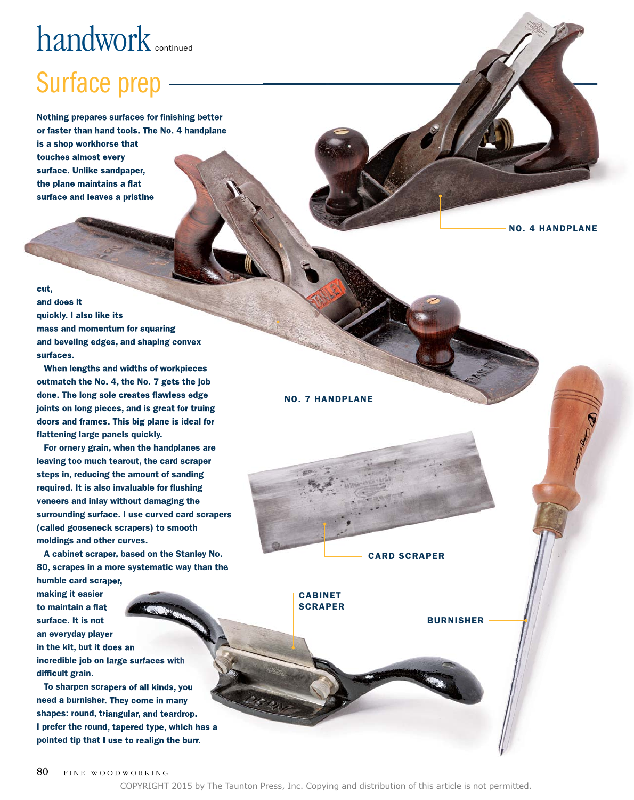## handwork continued

### Surface prep

Nothing prepares surfaces for finishing better or faster than hand tools. The No. 4 handplane is a shop workhorse that touches almost every surface. Unlike sandpaper, the plane maintains a flat surface and leaves a pristine

NO. 4 HANDPLANE

cut, and does it quickly. I also like its mass and momentum for squaring and beveling edges, and shaping convex surfaces.

When lengths and widths of workpieces outmatch the No. 4, the No. 7 gets the job done. The long sole creates flawless edge joints on long pieces, and is great for truing doors and frames. This big plane is ideal for flattening large panels quickly.

For ornery grain, when the handplanes are leaving too much tearout, the card scraper steps in, reducing the amount of sanding required. It is also invaluable for flushing veneers and inlay without damaging the surrounding surface. I use curved card scrapers (called gooseneck scrapers) to smooth moldings and other curves.

A cabinet scraper, based on the Stanley No. 80, scrapes in a more systematic way than the humble card scraper,

making it easier to maintain a flat surface. It is not an everyday player in the kit, but it does an incredible job on large surfaces with difficult grain.

To sharpen scrapers of all kinds, you need a burnisher. They come in many shapes: round, triangular, and teardrop. I prefer the round, tapered type, which has a pointed tip that I use to realign the burr.

NO. 7 HANDPLANE

CARD SCRAPER

BURNISHER

CABINET **SCRAPER**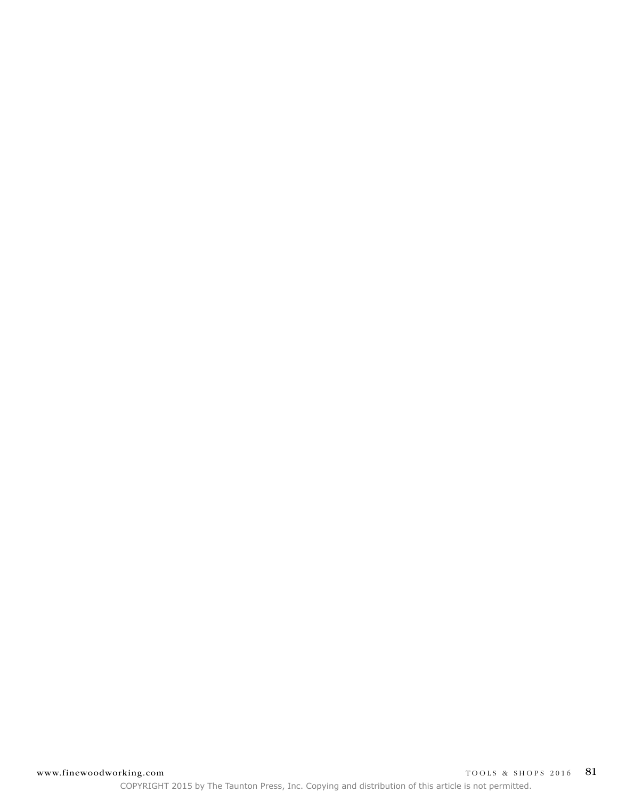COPYRIGHT 2015 by The Taunton Press, Inc. Copying and distribution of this article is not permitted. www.finewoodworking.com TOOLS & SHOPS 2016 81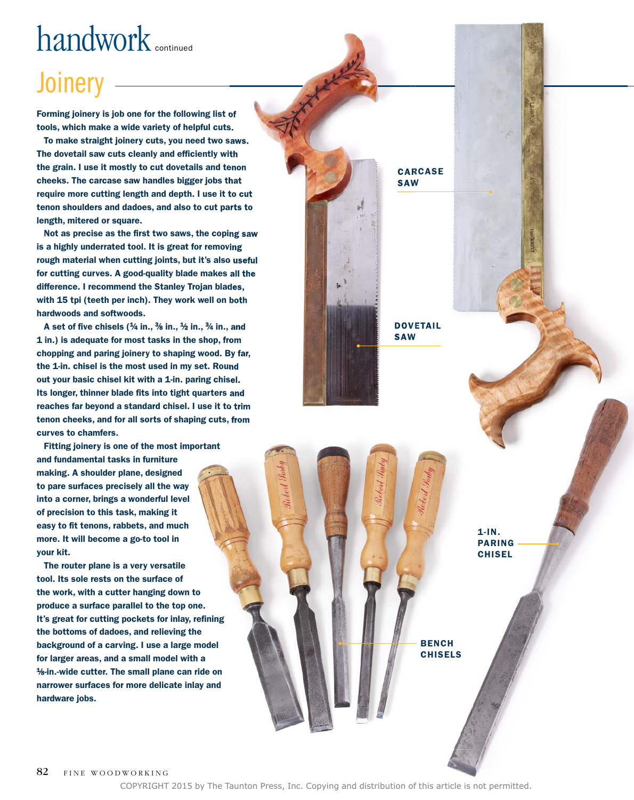# handwork continued

## Joinery —

Forming joinery is job one for the following list of tools, which make a wide variety of helpful cuts.

To make straight joinery cuts, you need two saws. The dovetail saw cuts cleanly and efficiently with the grain. I use it mostly to cut dovetails and tenon cheeks. The carcase saw handles bigger jobs that require more cutting length and depth. I use it to cut tenon shoulders and dadoes, and also to cut parts to length, mitered or square.

Not as precise as the first two saws, the coping saw is a highly underrated tool. It is great for removing rough material when cutting joints, but it's also useful for cutting curves. A good-quality blade makes all the difference. I recommend the Stanley Trojan blades, with 15 tpi (teeth per inch). They work well on both hardwoods and softwoods.

A set of five chisels ( $\frac{4}{4}$  in.,  $\frac{3}{8}$  in.,  $\frac{4}{2}$  in.,  $\frac{3}{4}$  in., and 1 in.) is adequate for most tasks in the shop, from chopping and paring joinery to shaping wood. By far, the 1-in. chisel is the most used in my set. Round out your basic chisel kit with a 1-in. paring chisel. Its longer, thinner blade fits into tight quarters and reaches far beyond a standard chisel. I use it to trim tenon cheeks, and for all sorts of shaping cuts, from curves to chamfers.

Fitting joinery is one of the most important and fundamental tasks in furniture making. A shoulder plane, designed to pare surfaces precisely all the way into a corner, brings a wonderful level of precision to this task, making it easy to fit tenons, rabbets, and much more. It will become a go-to tool in your kit.

The router plane is a very versatile tool. Its sole rests on the surface of the work, with a cutter hanging down to produce a surface parallel to the top one. It's great for cutting pockets for inlay, refining the bottoms of dadoes, and relieving the background of a carving. I use a large model for larger areas, and a small model with a 1⁄8-in.-wide cutter. The small plane can ride on narrower surfaces for more delicate inlay and hardware jobs.

CARCASE SAW

DOVETAIL SAW

> 1-IN. PARING **CHISEL**

**BENCH** CHISELS